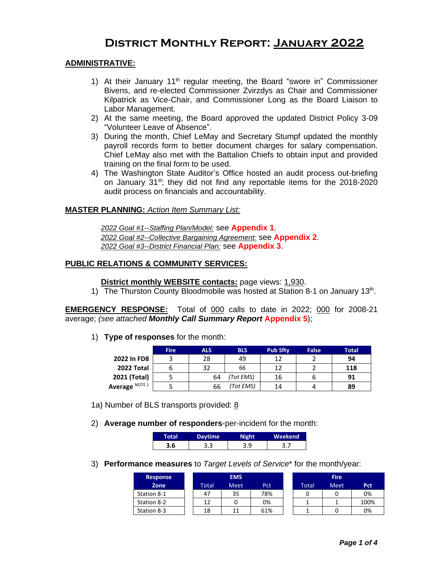# **District Monthly Report: January 2022**

### **ADMINISTRATIVE:**

- 1) At their January  $11<sup>th</sup>$  regular meeting, the Board "swore in" Commissioner Bivens, and re-elected Commissioner Zvirzdys as Chair and Commissioner Kilpatrick as Vice-Chair, and Commissioner Long as the Board Liaison to Labor Management.
- 2) At the same meeting, the Board approved the updated District Policy 3-09 "Volunteer Leave of Absence".
- 3) During the month, Chief LeMay and Secretary Stumpf updated the monthly payroll records form to better document charges for salary compensation. Chief LeMay also met with the Battalion Chiefs to obtain input and provided training on the final form to be used.
- 4) The Washington State Auditor's Office hosted an audit process out-briefing on January 31st; they did not find any reportable items for the 2018-2020 audit process on financials and accountability.

#### **MASTER PLANNING:** *Action Item Summary List:*

*2022 Goal #1--Staffing Plan/Model:* see **Appendix 1**. *2022 Goal #2--Collective Bargaining Agreement:* see **Appendix 2**. *2022 Goal #3--District Financial Plan:* see **Appendix 3**.

#### **PUBLIC RELATIONS & COMMUNITY SERVICES:**

#### **District monthly WEBSITE contacts:** page views: 1,930.

1) The Thurston County Bloodmobile was hosted at Station 8-1 on January 13<sup>th</sup>.

**EMERGENCY RESPONSE:** Total of 000 calls to date in 2022; 000 for 2008-21 average; *(see attached Monthly Call Summary Report* **Appendix 5**);

1) **Type of responses** for the month:

|                | <b>Fire</b> | ALS. | <b>BLS</b> | <b>Pub Sfty</b> | False | <b>Total</b> |
|----------------|-------------|------|------------|-----------------|-------|--------------|
| 2022 In FD8    |             | 28   | 49         | 12              |       | 94           |
| 2022 Total     |             | 32   | 66         | 12              |       | 118          |
| 2021 (Total)   |             | 64   | 'Tot EMS)  | 16              |       | 91           |
| Average NOTE 1 |             | 66   | (Tot EMS)  | 14              |       | 89           |

1a) Number of BLS transports provided: 8

2) **Average number of responders**-per-incident for the month:

| Total | <b>Daytime</b> | <b>Night</b> | Weekend |
|-------|----------------|--------------|---------|
| 3.6   | 3.3            | 3.9          | 3.7     |

3) **Performance measures** to *Target Levels of Service*\* for the month/year:

| <b>Response</b> |       | <b>EMS</b>  |     |       | <b>Fire</b> |      |
|-----------------|-------|-------------|-----|-------|-------------|------|
| Zone            | Total | <b>Meet</b> | Pct | Total | <b>Meet</b> | Pct  |
| Station 8-1     | 47    | 35          | 78% |       |             | 0%   |
| Station 8-2     | 12    |             | 0%  |       |             | 100% |
| Station 8-3     | 18    |             | 61% |       |             | 0%   |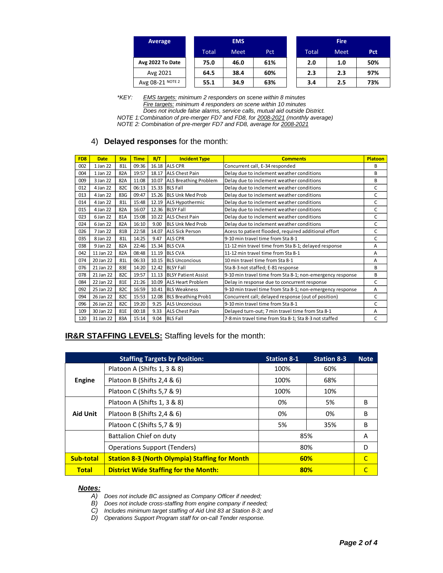| Average          |              | <b>EMS</b>  |            |  |              | <b>Fire</b> |            |  |  |
|------------------|--------------|-------------|------------|--|--------------|-------------|------------|--|--|
|                  | <b>Total</b> | <b>Meet</b> | <b>Pct</b> |  | <b>Total</b> | <b>Meet</b> | <b>Pct</b> |  |  |
| Avg 2022 To Date | 75.0         | 46.0        | 61%        |  | 2.0          | 1.0         | 50%        |  |  |
| Avg 2021         | 64.5         | 38.4        | 60%        |  | 2.3          | 2.3         | 97%        |  |  |
| Avg 08-21 NOTE 2 | 55.1         | 34.9        | 63%        |  | 3.4          | 2.5         | 73%        |  |  |

*\*KEY: EMS targets: minimum 2 responders on scene within 8 minutes Fire targets: minimum 4 responders on scene within 10 minutes Does not include false alarms, service calls, mutual aid outside District.*

*NOTE 1:Combination of pre-merger FD7 and FD8, for 2008-2021 (monthly average)*

*NOTE 2: Combination of pre-merger FD7 and FD8, average for 2008-2021*

### 4) **Delayed responses** for the month:

| FD <sub>8</sub> | <b>Date</b> | <b>Sta</b>      | <b>Time</b> | R/T   | <b>Incident Type</b>         | <b>Comments</b>                                           | <b>Platoon</b> |
|-----------------|-------------|-----------------|-------------|-------|------------------------------|-----------------------------------------------------------|----------------|
| 002             | 1 Jan 22    | 81L             | 09:36       | 16.18 | <b>ALS CPR</b>               | Concurrent call, E-34 responded                           | B              |
| 004             | 1 Jan 22    | 82A             | 19:57       | 18.17 | <b>ALS Chest Pain</b>        | Delay due to inclement weather conditions                 | B              |
| 009             | 3 Jan 22    | 82A             | 11:08       | 10.07 | <b>ALS Breathing Problem</b> | Delay due to inclement weather conditions                 | B              |
| 012             | 4 Jan 22    | 82C             | 06:13       |       | 15.33 BLS Fall               | Delay due to inclement weather conditions                 | C              |
| 013             | 4 Jan 22    | 83G             | 09:47       | 15.26 | <b>BLS Unk Med Prob</b>      | Delay due to inclement weather conditions                 | C              |
| 014             | 4 Jan 22    | 81L             | 15:48       |       | 12.19 ALS Hypothermic        | Delay due to inclement weather conditions                 | C              |
| 015             | 4 Jan 22    | 82A             | 16:07       |       | 12.36 BLSY Fall              | Delay due to inclement weather conditions                 | C              |
| 023             | 6 Jan 22    | 81A             | 15:08       | 10.22 | <b>ALS Chest Pain</b>        | Delay due to inclement weather conditions                 | C              |
| 024             | 6 Jan 22    | 82A             | 16:10       | 9.00  | <b>BLS Unk Med Prob</b>      | Delay due to inclement weather conditions                 | C              |
| 026             | 7 Jan 22    | 81 <sub>B</sub> | 22:58       | 14.07 | <b>ALS Sick Person</b>       | Acess to patient flooded, required additional effort      | C              |
| 035             | 8 Jan 22    | 81L             | 14:25       | 9.47  | <b>ALS CPR</b>               | 9-10 min travel time from Sta 8-1                         | C              |
| 038             | 9 Jan 22    | 82A             | 22:46       | 15.34 | <b>BLS CVA</b>               | 11-12 min travel time from Sta 8-1; delayed response      | A              |
| 042             | 11 Jan 22   | 82A             | 08:48       | 11.19 | <b>BLS CVA</b>               | 11-12 min travel time from Sta 8-1                        | A              |
| 074             | 20 Jan 22   | 81L             | 06:33       |       | 10.15 BLS Unconcious         | 10 min travel time from Sta 8-1                           | A              |
| 076             | 21 Jan 22   | 83E             | 14:20       | 12.42 | <b>BLSY Fall</b>             | Sta 8-3 not staffed; E-81 response                        | B              |
| 078             | 21 Jan 22   | 82C             | 19:57       |       | 11.13 BLSY Patient Assist    | 9-10 min travel time from Sta 8-1; non-emergency response | B              |
| 084             | 22 Jan 22   | 81E             | 21:26       | 10.09 | <b>ALS Heart Problem</b>     | Delay in response due to concurrent response              | C              |
| 092             | 25 Jan 22   | 82C             | 16:59       | 10.41 | <b>BLS Weakness</b>          | 9-10 min travel time from Sta 8-1; non-emergency response | A              |
| 094             | 26 Jan 22   | 82C             | 15:53       | 12.08 | <b>BLS Breathing Prob1</b>   | Concurrent call; delayed response (out of position)       | C              |
| 096             | 26 Jan 22   | 82C             | 19:20       | 9.25  | <b>ALS Unconcious</b>        | 9-10 min travel time from Sta 8-1                         | C              |
| 109             | 30 Jan 22   | 81E             | 00:18       | 9.33  | <b>ALS Chest Pain</b>        | Delayed turn-out; 7 min travel time from Sta 8-1          | A              |
| 120             | 31 Jan 22   | 83A             | 15:14       | 9.04  | <b>BLS Fall</b>              | 7-8 min travel time from Sta 8-1; Sta 8-3 not staffed     | С              |

## **IR&R STAFFING LEVELS:** Staffing levels for the month:

|                 | <b>Staffing Targets by Position:</b>                  | <b>Station 8-1</b>                      | <b>Station 8-3</b> | <b>Note</b> |
|-----------------|-------------------------------------------------------|-----------------------------------------|--------------------|-------------|
|                 | Platoon A (Shifts 1, 3 & 8)                           | 100%                                    | 60%                |             |
| Engine          | Platoon B (Shifts 2,4 & 6)                            | 100%                                    | 68%                |             |
|                 | Platoon C (Shifts 5,7 & 9)                            | 100%                                    | 10%                |             |
|                 | Platoon A (Shifts 1, 3 & 8)                           | 0%                                      | 5%                 | B           |
| <b>Aid Unit</b> | Platoon B (Shifts 2,4 & 6)                            | 0%                                      | 0%                 | B           |
|                 | Platoon C (Shifts 5,7 & 9)                            | 5%                                      | 35%                | B           |
|                 | Battalion Chief on duty                               |                                         | A                  |             |
|                 | <b>Operations Support (Tenders)</b>                   | 85%<br>80%<br>D<br>60%<br>C<br>80%<br>C |                    |             |
| Sub-total       | <b>Station 8-3 (North Olympia) Staffing for Month</b> |                                         |                    |             |
| <b>Total</b>    | <b>District Wide Staffing for the Month:</b>          |                                         |                    |             |

#### *Notes:*

- *A) Does not include BC assigned as Company Officer if needed;*
- *B) Does not include cross-staffing from engine company if needed;*
- *C) Includes minimum target staffing of Aid Unit 83 at Station 8-3; and*
- *D) Operations Support Program staff for on-call Tender response.*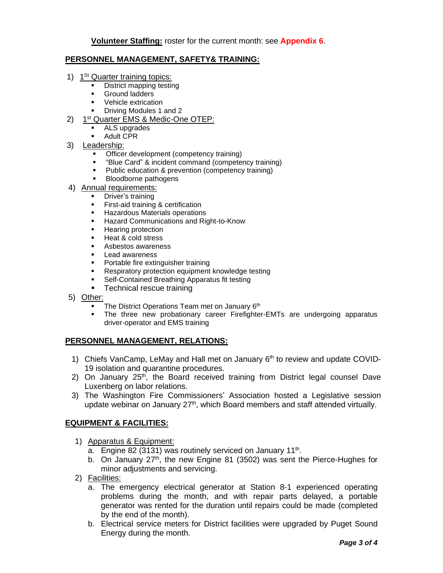### **PERSONNEL MANAGEMENT, SAFETY& TRAINING:**

- 1) 1<sup>St</sup> Quarter training topics:
	- District mapping testing
	- Ground ladders
	- Vehicle extrication
	- Driving Modules 1 and 2
- 2) 1<sup>st</sup> Quarter EMS & Medic-One OTEP:
	- ALS upgrades
	- **Adult CPR**
- 3) Leadership:
	- Officer development (competency training)
	- "Blue Card" & incident command (competency training)
	- Public education & prevention (competency training)
	- **Bloodborne pathogens**
- 4) Annual requirements:
	- **•** Driver's training
		- **Exerging 1** First-aid training & certification
		- Hazardous Materials operations
		- **E** Hazard Communications and Right-to-Know
		- Hearing protection
		- Heat & cold stress
		- Asbestos awareness
		- Lead awareness
		- **Portable fire extinguisher training**<br>• Respiratory protection equipment
		- Respiratory protection equipment knowledge testing
		- Self-Contained Breathing Apparatus fit testing
		- Technical rescue training
- 5) Other:
	- The District Operations Team met on January 6th
	- **•** The three new probationary career Firefighter-EMTs are undergoing apparatus driver-operator and EMS training

### **PERSONNEL MANAGEMENT, RELATIONS:**

- 1) Chiefs VanCamp, LeMay and Hall met on January 6<sup>th</sup> to review and update COVID-19 isolation and quarantine procedures.
- 2) On January  $25<sup>th</sup>$ , the Board received training from District legal counsel Dave Luxenberg on labor relations.
- 3) The Washington Fire Commissioners' Association hosted a Legislative session update webinar on January  $27<sup>th</sup>$ , which Board members and staff attended virtually.

### **EQUIPMENT & FACILITIES:**

- 1) Apparatus & Equipment:
	- a. Engine 82 (3131) was routinely serviced on January 11<sup>th</sup>.
	- b. On January  $27<sup>th</sup>$ , the new Engine 81 (3502) was sent the Pierce-Hughes for minor adjustments and servicing.
- 2) Facilities:
	- a. The emergency electrical generator at Station 8-1 experienced operating problems during the month, and with repair parts delayed, a portable generator was rented for the duration until repairs could be made (completed by the end of the month).
	- b. Electrical service meters for District facilities were upgraded by Puget Sound Energy during the month.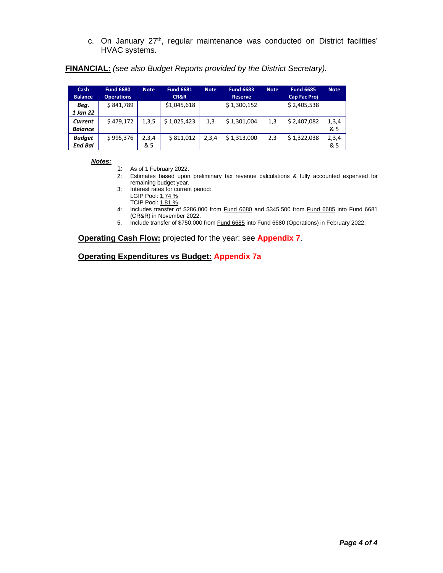c. On January 27<sup>th</sup>, regular maintenance was conducted on District facilities' HVAC systems.

| Cash<br><b>Balance</b> | <b>Fund 6680</b><br><b>Operations</b> | <b>Note</b> | <b>Fund 6681</b><br><b>CR&amp;R</b> | <b>Note</b> | <b>Fund 6683</b><br><b>Reserve</b> | <b>Fund 6685</b><br><b>Note</b><br><b>Cap Fac Proj</b> |             | <b>Note</b> |
|------------------------|---------------------------------------|-------------|-------------------------------------|-------------|------------------------------------|--------------------------------------------------------|-------------|-------------|
| Beg.                   | \$841,789                             |             | \$1,045,618                         |             | \$1,300,152                        |                                                        | \$2,405,538 |             |
| 1 Jan 22               |                                       |             |                                     |             |                                    |                                                        |             |             |
| Current                | \$479,172                             | 1,3,5       | \$1,025,423                         | 1,3         | \$1,301,004                        | 1,3                                                    | \$2,407,082 | 1,3,4       |
| <b>Balance</b>         |                                       |             |                                     |             |                                    |                                                        |             | & 5         |
| <b>Budget</b>          | \$995,376                             | 2,3,4       | \$811,012                           | 2,3,4       | \$1,313,000                        | 2,3                                                    | \$1,322,038 | 2,3,4       |
| <b>End Bal</b>         |                                       | & 5         |                                     |             |                                    |                                                        |             | & 5         |

**FINANCIAL:** *(see also Budget Reports provided by the District Secretary).*

#### *Notes:*

- 1: As of 1 February 2022.
- 2: Estimates based upon preliminary tax revenue calculations & fully accounted expensed for remaining budget year.
- 3: Interest rates for current period: LGIP Pool: 1.74 %
	- TCIP Pool: 1.81 %.
- 4: Includes transfer of \$286,000 from Fund 6680 and \$345,500 from Fund 6685 into Fund 6681 (CR&R) in November 2022.
- 5. Include transfer of \$750,000 from Fund 6685 into Fund 6680 (Operations) in February 2022.

**Operating Cash Flow:** projected for the year: see **Appendix 7**.

**Operating Expenditures vs Budget: Appendix 7a**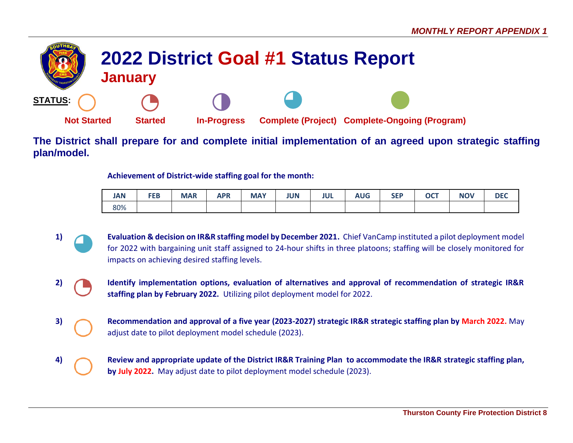

**The District shall prepare for and complete initial implementation of an agreed upon strategic staffing plan/model.**

**Achievement of District-wide staffing goal for the month:**

| <b>JAN</b> | <b>FEB</b> | <b>MAR</b> | <b>APR</b> | <b>MAY</b> | JUN | <b>JUL</b> | <b>AUG</b> | <b>SEP</b> | <b>OCT</b> | <b>NOV</b> |  |
|------------|------------|------------|------------|------------|-----|------------|------------|------------|------------|------------|--|
| 80%        |            |            |            |            |     |            |            |            |            |            |  |

- 1) **Evaluation & decision on IR&R staffing model by December 2021.** Chief VanCamp instituted a pilot deployment model for 2022 with bargaining unit staff assigned to 24-hour shifts in three platoons; staffing will be closely monitored for impacts on achieving desired staffing levels.
- **2) Identify implementation options, evaluation of alternatives and approval of recommendation of strategic IR&R staffing plan by February 2022.** Utilizing pilot deployment model for 2022.
- **3) Recommendation and approval of a five year (2023-2027) strategic IR&R strategic staffing plan by March 2022.** May adjust date to pilot deployment model schedule (2023).
- **4) Review and appropriate update of the District IR&R Training Plan to accommodate the IR&R strategic staffing plan, by July 2022.** May adjust date to pilot deployment model schedule (2023).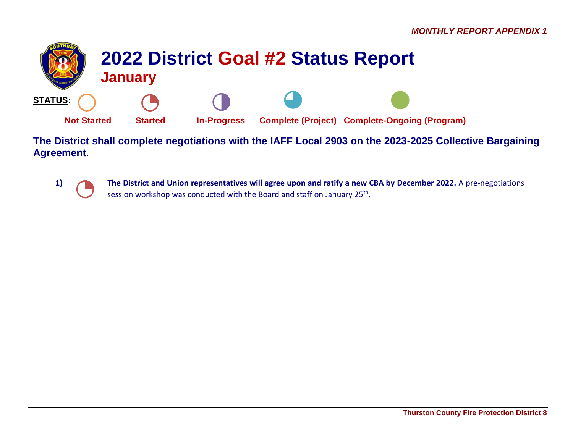

**The District shall complete negotiations with the IAFF Local 2903 on the 2023-2025 Collective Bargaining Agreement.**



**1) The District and Union representatives will agree upon and ratify a new CBA by December 2022.** A pre-negotiations session workshop was conducted with the Board and staff on January 25<sup>th</sup>.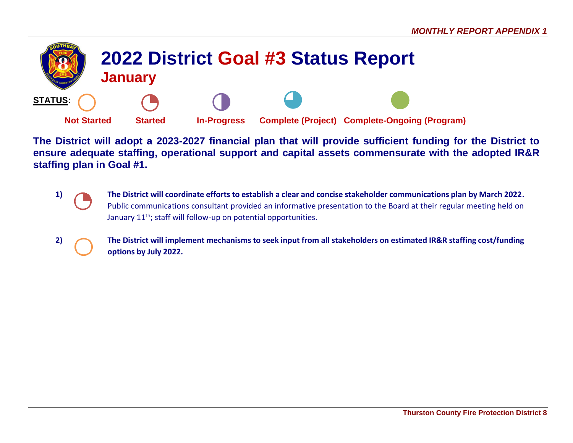

**The District will adopt a 2023-2027 financial plan that will provide sufficient funding for the District to ensure adequate staffing, operational support and capital assets commensurate with the adopted IR&R staffing plan in Goal #1.**

- **1) The District will coordinate efforts to establish a clear and concise stakeholder communications plan by March 2022.** Public communications consultant provided an informative presentation to the Board at their regular meeting held on January 11<sup>th</sup>; staff will follow-up on potential opportunities.
- **2) The District will implement mechanisms to seek input from all stakeholders on estimated IR&R staffing cost/funding options by July 2022.**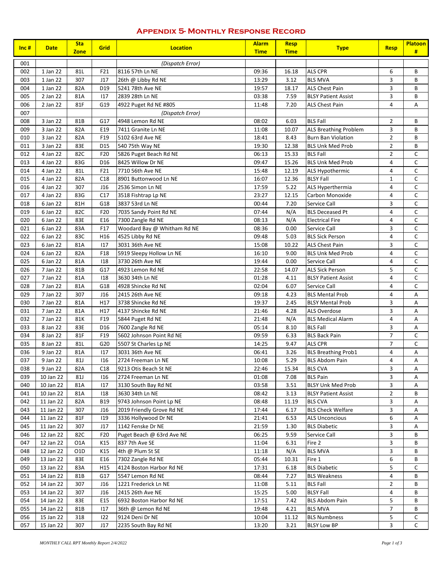#### **Appendix 5- Monthly Response Record**

| $Inc$ # | <b>Date</b> | <b>Sta</b><br><b>Zone</b> | Grid | <b>Location</b>             | <b>Alarm</b><br><b>Time</b> | <b>Resp</b><br><b>Time</b> | <b>Type</b>                  | <b>Resp</b>    | <b>Platoon</b><br># |
|---------|-------------|---------------------------|------|-----------------------------|-----------------------------|----------------------------|------------------------------|----------------|---------------------|
| 001     |             |                           |      | (Dispatch Error)            |                             |                            |                              |                |                     |
| 002     | 1 Jan 22    | 81L                       | F21  | 8116 57th Ln NE             | 09:36                       | 16.18                      | <b>ALS CPR</b>               | 6              | В                   |
| 003     | 1 Jan 22    | 307                       | J17  | 26th @ Libby Rd NE          | 13:29                       | 3.12                       | <b>BLS MVA</b>               | 3              | B                   |
| 004     | 1 Jan 22    | 82A                       | D19  | 5241 78th Ave NE            | 19:57                       | 18.17                      | <b>ALS Chest Pain</b>        | 3              | B                   |
| 005     | 2 Jan 22    | 81A                       | 117  | 2839 28th Ln NE             | 03:38                       | 7.59                       | <b>BLSY Patient Assist</b>   | 3              | B                   |
| 006     | 2 Jan 22    | 81F                       | G19  | 4922 Puget Rd NE #805       | 11:48                       | 7.20                       | <b>ALS Chest Pain</b>        | 4              | Α                   |
| 007     |             |                           |      | (Dispatch Error)            |                             |                            |                              |                |                     |
| 008     | 3 Jan 22    | 81B                       | G17  | 4948 Lemon Rd NE            | 08:02                       | 6.03                       | <b>BLS Fall</b>              | $\overline{2}$ | B                   |
| 009     | 3 Jan 22    | 82A                       | E19  | 7411 Granite Ln NE          | 11:08                       | 10.07                      | <b>ALS Breathing Problem</b> | 3              | B                   |
| 010     | 3 Jan 22    | 82A                       | F19  | 5102 63rd Ave NE            | 18:41                       | 8.43                       | <b>Burn Ban Violation</b>    | $\overline{2}$ | B                   |
| 011     | 3 Jan 22    | 83E                       | D15  | 540 75th Way NE             | 19:30                       | 12.38                      | <b>BLS Unk Med Prob</b>      | $\overline{2}$ | В                   |
| 012     | 4 Jan 22    | 82C                       | F20  | 5826 Puget Beach Rd NE      | 06:13                       | 15.33                      | <b>BLS Fall</b>              | $\overline{2}$ | $\mathsf C$         |
| 013     | 4 Jan 22    | 83G                       | D16  | 8425 Willow Dr NE           | 09:47                       | 15.26                      | <b>BLS Unk Med Prob</b>      | 4              | С                   |
| 014     | 4 Jan 22    | 81L                       | F21  | 7710 56th Ave NE            | 15:48                       | 12.19                      | ALS Hypothermic              | 4              | C                   |
| 015     | 4 Jan 22    | 82A                       | C18  | 8901 Buttonwood Ln NE       | 16:07                       | 12.36                      | <b>BLSY Fall</b>             | $\mathbf{1}$   | C                   |
| 016     | 4 Jan 22    | 307                       | J16  | 2536 Simon Ln NE            | 17:59                       | 5.22                       | <b>ALS Hyperthermia</b>      | 4              | C                   |
| 017     | 4 Jan 22    | 83G                       | C17  | 3518 Fishtrap Lp NE         | 23:27                       | 12.15                      | Carbon Monoxide              | 4              | C                   |
| 018     | 6 Jan 22    | 81H                       | G18  | 3837 53rd Ln NE             | 00:44                       | 7.20                       | Service Call                 | 3              | C                   |
| 019     | 6 Jan 22    | 82C                       | F20  | 7035 Sandy Point Rd NE      | 07:44                       | N/A                        | <b>BLS Deceased Pt</b>       | 4              | C                   |
| 020     | 6 Jan 22    | 83E                       | E16  | 7300 Zangle Rd NE           | 08:13                       | N/A                        | <b>Electrical Fire</b>       | 4              | C                   |
| 021     | 6 Jan 22    | 83A                       | F17  | Woodard Bay @ Whitham Rd NE | 08:36                       | 0.00                       | Service Call                 | 3              | С                   |
| 022     | 6 Jan 22    | 83C                       | H16  | 4525 Libby Rd NE            | 09:48                       | 5.03                       | <b>BLS Sick Person</b>       | 4              | С                   |
| 023     | 6 Jan 22    | 81A                       | 117  | 3031 36th Ave NE            | 15:08                       | 10.22                      | <b>ALS Chest Pain</b>        | 3              | C                   |
| 024     | 6 Jan 22    | 82A                       | F18  | 5919 Sleepy Hollow Ln NE    | 16:10                       | 9.00                       | <b>BLS Unk Med Prob</b>      | 4              | C                   |
| 025     | 6 Jan 22    | 81A                       | 118  | 3730 26th Ave NE            | 19:44                       | 0.00                       | Service Call                 | 4              | C                   |
| 026     | 7 Jan 22    | 81B                       | G17  | 4923 Lemon Rd NE            | 22:58                       | 14.07                      | <b>ALS Sick Person</b>       | 5              | C                   |
| 027     | 7 Jan 22    | 81A                       | 118  | 3630 34th Ln NE             | 01:28                       | 4.11                       | <b>BLSY Patient Assist</b>   | 4              | C                   |
| 028     | 7 Jan 22    | 81A                       | G18  | 4928 Shincke Rd NE          | 02:04                       | 6.07                       | Service Call                 | 4              | C                   |
| 029     | 7 Jan 22    | 307                       | J16  | 2415 26th Ave NE            | 09:18                       | 4.23                       | <b>BLS Mental Prob</b>       | 4              | Α                   |
| 030     | 7 Jan 22    | 81A                       | H17  | 3738 Shincke Rd NE          | 19:37                       | 2.45                       | <b>BLSY Mental Prob</b>      | 3              | А                   |
| 031     | 7 Jan 22    | 81A                       | H17  | 4137 Shincke Rd NE          | 21:46                       | 4.28                       | <b>ALS Overdose</b>          | 3              | Α                   |
| 032     | 7 Jan 22    | 81K                       | F19  | 5844 Puget Rd NE            | 21:48                       | N/A                        | <b>BLS Medical Alarm</b>     | 4              | Α                   |
| 033     | 8 Jan 22    | 83E                       | D16  | 7600 Zangle Rd NE           | 05:14                       | 8.10                       | <b>BLS Fall</b>              | 3              | Α                   |
| 034     | 8 Jan 22    | 81F                       | F19  | 5602 Johnson Point Rd NE    | 09:59                       | 6.33                       | <b>BLS Back Pain</b>         | $\overline{7}$ | C                   |
| 035     | 8 Jan 22    | 81L                       | G20  | 5507 St Charles Lp NE       | 14:25                       | 9.47                       | <b>ALS CPR</b>               | $\overline{7}$ | C                   |
| 036     | 9 Jan 22    | 81A                       | 117  | 3031 36th Ave NE            | 06:41                       | 3.26                       | <b>BLS Breathing Prob1</b>   | 4              | Α                   |
| 037     | 9 Jan 22    | 81J                       | 116  | 2724 Freeman Ln NE          | 10:08                       | 5.29                       | <b>BLS Abdom Pain</b>        | 4              | Α                   |
| 038     | 9 Jan 22    | 82A                       | C18  | 9213 Otis Beach St NE       | 22:46                       | 15.34                      | <b>BLS CVA</b>               | 3              | Α                   |
| 039     | 10 Jan 22   | 81J                       | 116  | 2724 Freeman Ln NE          | 01:08                       | 7.08                       | <b>BLS Pain</b>              | 3              | A                   |
| 040     | 10 Jan 22   | 81A                       | 117  | 3130 South Bay Rd NE        | 03:58                       | 3.51                       | <b>BLSY Unk Med Prob</b>     | 3              | Α                   |
| 041     | 10 Jan 22   | 81A                       | 118  | 3630 34th Ln NE             | 08:42                       | 3.13                       | <b>BLSY Patient Assist</b>   | $\overline{2}$ | В                   |
| 042     | 11 Jan 22   | 82A                       | B19  | 9743 Johnson Point Lp NE    | 08:48                       | 11.19                      | <b>BLS CVA</b>               | 3              | Α                   |
| 043     | 11 Jan 22   | 307                       | J16  | 2019 Friendly Grove Rd NE   | 17:44                       | 6.17                       | <b>BLS Check Welfare</b>     | 3              | Α                   |
| 044     | 11 Jan 22   | 81F                       | 119  | 3336 Hollywood Dr NE        | 21:41                       | 6.53                       | <b>ALS Unconcious</b>        | 6              | Α                   |
| 045     | 11 Jan 22   | 307                       | J17  | 1142 Fenske Dr NE           | 21:59                       | 1.30                       | <b>BLS Diabetic</b>          | 3              | Α                   |
| 046     | 12 Jan 22   | 82C                       | F20  | Puget Beach @ 63rd Ave NE   | 06:25                       | 9.59                       | Service Call                 | 3              | В                   |
| 047     | 12 Jan 22   | O1A                       | K15  | 837 7th Ave SE              | 11:04                       | 6.31                       | Fire 2                       | 3              | В                   |
| 048     | 12 Jan 22   | O1D                       | K15  | 4th @ Plum St SE            | 11:18                       | N/A                        | <b>BLS MVA</b>               | 3              | В                   |
| 049     | 13 Jan 22   | 83E                       | E16  | 7302 Zangle Rd NE           | 05:44                       | 10.31                      | Fire 1                       | 6              | В                   |
| 050     | 13 Jan 22   | 83A                       | H15  | 4124 Boston Harbor Rd NE    | 17:31                       | 6.18                       | <b>BLS Diabetic</b>          | 5              | C                   |
| 051     | 14 Jan 22   | 81B                       | G17  | 5547 Lemon Rd NE            | 08:44                       | 7.27                       | <b>BLS Weakness</b>          | 4              | В                   |
| 052     | 14 Jan 22   | 307                       | J16  | 1221 Frederick Ln NE        | 11:08                       | 5.11                       | <b>BLS Fall</b>              | $\overline{2}$ | В                   |
| 053     | 14 Jan 22   | 307                       | J16  | 2415 26th Ave NE            | 15:25                       | 5.00                       | <b>BLSY Fall</b>             | 4              | B                   |
| 054     | 14 Jan 22   | 83E                       | E15  | 6932 Boston Harbor Rd NE    | 17:51                       | 7.42                       | <b>BLS Abdom Pain</b>        | 5              | В                   |
| 055     | 14 Jan 22   | 81B                       | 117  | 36th @ Lemon Rd NE          | 19:48                       | 4.21                       | <b>BLS MVA</b>               | 7              | В                   |
| 056     | 15 Jan 22   | 318                       | 122  | 9124 Deni Dr NE             | 10:04                       | 11.12                      | <b>BLS Numbness</b>          | 5              | С                   |
| 057     | 15 Jan 22   | 307                       | J17  | 2235 South Bay Rd NE        | 13:20                       | 3.21                       | <b>BLSY Low BP</b>           | 3              | C                   |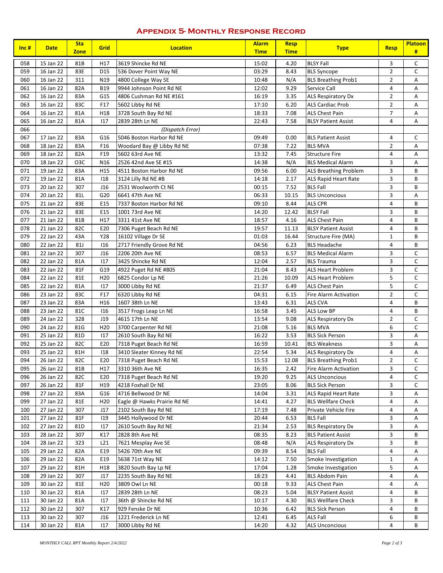# **Appendix 5- Monthly Response Record**

| $Inc$ # | <b>Date</b> | <b>Sta</b><br><b>Zone</b> | <b>Grid</b>     | <b>Location</b>             | <b>Alarm</b><br><b>Time</b> | <b>Resp</b><br><b>Time</b> | <b>Type</b>                | <b>Resp</b>    | <b>Platoon</b><br># |
|---------|-------------|---------------------------|-----------------|-----------------------------|-----------------------------|----------------------------|----------------------------|----------------|---------------------|
| 058     | 15 Jan 22   | 81B                       | H17             | 3619 Shincke Rd NE          | 15:02                       | 4.20                       | <b>BLSY Fall</b>           | 3              | C                   |
| 059     | 16 Jan 22   | 83E                       | D15             | 536 Dover Point Way NE      | 03:29                       | 8.43                       | <b>BLS Syncope</b>         | $\overline{2}$ | C                   |
| 060     | 16 Jan 22   | 311                       | N19             | 4800 College Way SE         | 10:48                       | N/A                        | <b>BLS Breathing Prob1</b> | $\overline{2}$ | А                   |
| 061     | 16 Jan 22   | 82A                       | <b>B19</b>      | 9944 Johnson Point Rd NE    | 12:02                       | 9.29                       | Service Call               | $\overline{4}$ | Α                   |
| 062     | 16 Jan 22   | 83A                       | G15             | 4806 Cushman Rd NE #161     | 16:19                       | 3.35                       | ALS Respiratory Dx         | $\overline{2}$ | А                   |
| 063     | 16 Jan 22   | 83C                       | F17             | 5602 Libby Rd NE            | 17:10                       | 6.20                       | <b>ALS Cardiac Prob</b>    | $\overline{2}$ | А                   |
| 064     | 16 Jan 22   | 81A                       | H18             | 3728 South Bay Rd NE        | 18:33                       | 7.08                       | ALS Chest Pain             | $\overline{7}$ | А                   |
| 065     | 16 Jan 22   | 81A                       | 117             | 2839 28th Ln NE             | 22:43                       | 7.58                       | <b>BLSY Patient Assist</b> | 4              | A                   |
| 066     |             |                           |                 | (Dispatch Error)            |                             |                            |                            |                |                     |
| 067     | 17 Jan 22   | 83A                       | G16             | 5046 Boston Harbor Rd NE    | 09:49                       | 0.00                       | <b>BLS Patient Assist</b>  | 4              | C                   |
| 068     | 18 Jan 22   | 83A                       | F <sub>16</sub> | Woodard Bay @ Libby Rd NE   | 07:38                       | 7.22                       | <b>BLS MVA</b>             | $\overline{2}$ | Α                   |
| 069     | 18 Jan 22   | 82A                       | F19             | 5602 63rd Ave NE            | 13:32                       | 7.45                       | <b>Structure Fire</b>      | $\overline{4}$ | Α                   |
| 070     | 18 Jan 22   | O <sub>3</sub> C          | N <sub>16</sub> | 2526 42nd Ave SE #15        | 14:38                       | N/A                        | <b>BLS Medical Alarm</b>   | 3              | Α                   |
| 071     | 19 Jan 22   | 83A                       | H15             | 4511 Boston Harbor Rd NE    | 09:56                       | 6.00                       | ALS Breathing Problem      | 3              | В                   |
| 072     | 19 Jan 22   | 81A                       | 118             | 3124 Lilly Rd NE #B         | 14:18                       | 2.17                       | ALS Rapid Heart Rate       | 3              | B                   |
| 073     | 20 Jan 22   | 307                       | J16             | 2531 Woolworth Ct NE        | 00:15                       | 7.52                       | <b>BLS Fall</b>            | 3              | B                   |
| 074     | 20 Jan 22   | 81L                       | G20             | 6641 47th Ave NE            | 06:33                       | 10.15                      | <b>BLS Unconcious</b>      | 3              | А                   |
| 075     | 21 Jan 22   | 83E                       | E15             | 7337 Boston Harbor Rd NE    | 09:10                       | 8.44                       | ALS CPR                    | $\overline{4}$ | B                   |
| 076     | 21 Jan 22   | 83E                       | E15             | 1001 73rd Ave NE            | 14:20                       | 12.42                      | <b>BLSY Fall</b>           | 3              | B                   |
| 077     | 21 Jan 22   | 81B                       | H17             | 3311 41st Ave NE            | 18:57                       | 4.16                       | ALS Chest Pain             | 4              | В                   |
| 078     | 21 Jan 22   | 82C                       | E20             | 7306 Puget Beach Rd NE      | 19:57                       | 11.13                      | <b>BLSY Patient Assist</b> | 4              | В                   |
| 079     | 22 Jan 22   | 43A                       | Y28             | 16102 Village Dr SE         | 01:03                       | 16.44                      | Structure Fire (MA)        | 1              | В                   |
| 080     | 22 Jan 22   | 81J                       | 116             | 2717 Friendly Grove Rd NE   | 04:56                       | 6.23                       | <b>BLS Headache</b>        | 4              | В                   |
| 081     | 22 Jan 22   | 307                       | J16             | 2206 20th Ave NE            | 08:53                       | 6.57                       | <b>BLS Medical Alarm</b>   | 3              | C                   |
| 082     | 22 Jan 22   | 81A                       | 117             | 3425 Shincke Rd NE          | 12:04                       | 2.57                       | <b>BLS Trauma</b>          | 3              | C                   |
| 083     | 22 Jan 22   | 81F                       | G19             | 4922 Puget Rd NE #805       | 21:04                       | 8.43                       | <b>ALS Heart Problem</b>   | 3              | $\mathsf{C}$        |
| 084     | 22 Jan 22   | 81E                       | H <sub>20</sub> | 6825 Condor Lp NE           | 21:26                       | 10.09                      | <b>ALS Heart Problem</b>   | 5              | C                   |
| 085     | 22 Jan 22   | 81A                       | 117             | 3000 Libby Rd NE            | 21:37                       | 6.49                       | ALS Chest Pain             | 5              | C                   |
| 086     | 23 Jan 22   | 83C                       | F17             | 6320 Libby Rd NE            | 04:31                       | 6.15                       | Fire Alarm Activation      | $\overline{2}$ | C                   |
| 087     | 23 Jan 22   | 83A                       | H16             | 1607 38th Ln NE             | 13:43                       | 6.31                       | <b>ALS CVA</b>             | 4              | В                   |
| 088     | 23 Jan 22   | 81C                       | 116             | 3517 Frogs Leap Ln NE       | 16:58                       | 3.45                       | ALS Low BP                 | 4              | В                   |
| 089     | 24 Jan 22   | 328                       | J19             | 4615 17th Ln NE             | 13:54                       | 9.08                       | ALS Respiratory Dx         | $\overline{2}$ | C                   |
| 090     | 24 Jan 22   | 81G                       | H <sub>20</sub> | 3700 Carpenter Rd NE        | 21:08                       | 5.16                       | <b>BLS MVA</b>             | 6              | C                   |
| 091     | 25 Jan 22   | 81D                       | 117             |                             | 16:22                       | 3.53                       | <b>BLS Sick Person</b>     | 3              | А                   |
| 092     | 25 Jan 22   | 82C                       | E20             | 2610 South Bay Rd NE        | 16:59                       | 10.41                      | <b>BLS Weakness</b>        | 3              | А                   |
|         |             |                           |                 | 7318 Puget Beach Rd NE      |                             |                            |                            | 4              |                     |
| 093     | 25 Jan 22   | 81H                       | 118             | 3410 Sleater Kinney Rd NE   | 22:54                       | 5.34                       | <b>ALS Respiratory Dx</b>  |                | Α                   |
| 094     | 26 Jan 22   | 82C                       | E20             | 7318 Puget Beach Rd NE      | 15:53                       | 12.08                      | <b>BLS Breathing Prob1</b> | $\mathbf 2$    | С                   |
| 095     | 26 Jan 22   | 81B                       | H17             | 3310 36th Ave NE            | 16:35                       | 2.42                       | Fire Alarm Activation      | 3              | C                   |
| 096     | 26 Jan 22   | 82C                       | E20             | 7318 Puget Beach Rd NE      | 19:20                       | 9.25                       | <b>ALS Unconcious</b>      | 4              | C                   |
| 097     | 26 Jan 22   | 81F                       | H19             | 4218 Foxhall Dr NE          | 23:05                       | 8.06                       | <b>BLS Sick Person</b>     | 3              | C                   |
| 098     | 27 Jan 22   | 83A                       | G16             | 4716 Bellwood Dr NE         | 14:04                       | 3.31                       | ALS Rapid Heart Rate       | 3              | Α                   |
| 099     | 27 Jan 22   | 81E                       | H <sub>20</sub> | Eagle @ Hawks Prairie Rd NE | 14:41                       | 4.27                       | <b>BLS Wellfare Check</b>  | 4              | Α                   |
| 100     | 27 Jan 22   | 307                       | J17             | 2102 South Bay Rd NE        | 17:19                       | 7.48                       | Private Vehicle Fire       | 4              | Α                   |
| 101     | 27 Jan 22   | 81F                       | 119             | 3445 Hollywood Dr NE        | 20:44                       | 6.53                       | <b>BLS Fall</b>            | 3              | Α                   |
| 102     | 27 Jan 22   | 81D                       | 117             | 2610 South Bay Rd NE        | 21:34                       | 2.53                       | <b>BLS Respiratory Dx</b>  | 3              | Α                   |
| 103     | 28 Jan 22   | 307                       | K17             | 2828 8th Ave NE             | 08:35                       | 8.23                       | <b>BLS Patient Assist</b>  | 3              | В                   |
| 104     | 28 Jan 22   | 323                       | L21             | 7621 Mesplay Ave SE         | 08:48                       | N/A                        | <b>ALS Respiratory Dx</b>  | 3              | B                   |
| 105     | 29 Jan 22   | 82A                       | E19             | 5426 70th Ave NE            | 09:39                       | 8.54                       | <b>BLS Fall</b>            | 4              | Α                   |
| 106     | 29 Jan 22   | 82A                       | E19             | 5638 71st Way NE            | 14:12                       | 7.50                       | Smoke Investigation        | $\mathbf{1}$   | Α                   |
| 107     | 29 Jan 22   | 81H                       | H18             | 3820 South Bay Lp NE        | 17:04                       | 1.28                       | Smoke Investigation        | 5              | Α                   |
| 108     | 29 Jan 22   | 307                       | J17             | 2235 South Bay Rd NE        | 18:23                       | 4.41                       | <b>BLS Abdom Pain</b>      | 4              | Α                   |
| 109     | 30 Jan 22   | 81E                       | H <sub>20</sub> | 3809 Owl Ln NE              | 00:18                       | 9.33                       | ALS Chest Pain             | 4              | Α                   |
| 110     | 30 Jan 22   | 81A                       | 117             | 2839 28th Ln NE             | 08:23                       | 5.04                       | <b>BLSY Patient Assist</b> | 4              | В                   |
| 111     | 30 Jan 22   | 81A                       | 117             | 36th @ Shincke Rd NE        | 10:17                       | 4.30                       | <b>BLS Wellfare Check</b>  | 3              | В                   |
| 112     | 30 Jan 22   | 307                       | K17             | 929 Fenske Dr NE            | 10:36                       | 6.42                       | <b>BLS Sick Person</b>     | 4              | В                   |
| 113     | 30 Jan 22   | 307                       | J16             | 1221 Frederick Ln NE        | 12:41                       | 6.45                       | <b>ALS Fall</b>            | 6              | В                   |
|         | 30 Jan 22   | 81A                       | 117             | 3000 Libby Rd NE            | 14:20                       | 4.32                       | <b>ALS Unconcious</b>      | 4              | В                   |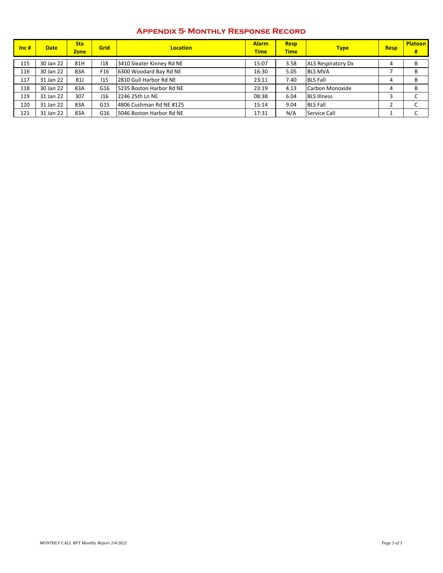### **Appendix 5- Monthly Response Record**

| $\vert$ Inc # | <b>Date</b> | <b>Sta</b><br><b>Zone</b> | <b>Grid</b> | <b>Location</b>           | <b>Alarm</b><br><b>Time</b> | <b>Resp</b><br><b>Time</b> | <b>Type</b>               | <b>Resp</b> | <b>Platoon</b><br># |
|---------------|-------------|---------------------------|-------------|---------------------------|-----------------------------|----------------------------|---------------------------|-------------|---------------------|
| 115           | 30 Jan 22   | 81H                       | 118         | 3410 Sleater Kinney Rd NE | 15:07                       | 3.58                       | <b>ALS Respiratory Dx</b> |             | В                   |
| 116           | 30 Jan 22   | 83A                       | F16         | 6300 Woodard Bay Rd NE    | 16:30                       | 5.05                       | <b>BLS MVA</b>            |             | В                   |
| 117           | 31 Jan 22   | <b>81J</b>                | 115         | 2810 Gull Harbor Rd NE    | 23:11                       | 7.40                       | <b>BLS Fall</b>           | 4           | B                   |
| 118           | 30 Jan 22   | 83A                       | G16         | 5235 Boston Harbor Rd NE  | 23:19                       | 4.13                       | Carbon Monoxide           | 4           | B                   |
| 119           | 31 Jan 22   | 307                       | J16         | 2246 25th Ln NE           | 08:38                       | 6.04                       | <b>BLS Illness</b>        | э           | $\sqrt{2}$<br>◡     |
| 120           | 31 Jan 22   | 83A                       | G15         | 4806 Cushman Rd NE #125   | 15:14                       | 9.04                       | <b>BLS Fall</b>           |             | $\sim$              |
| 121           | 31 Jan 22   | 83A                       | G16         | 5046 Boston Harbor Rd NE  | 17:31                       | N/A                        | Service Call              |             | $\sim$<br>◡         |